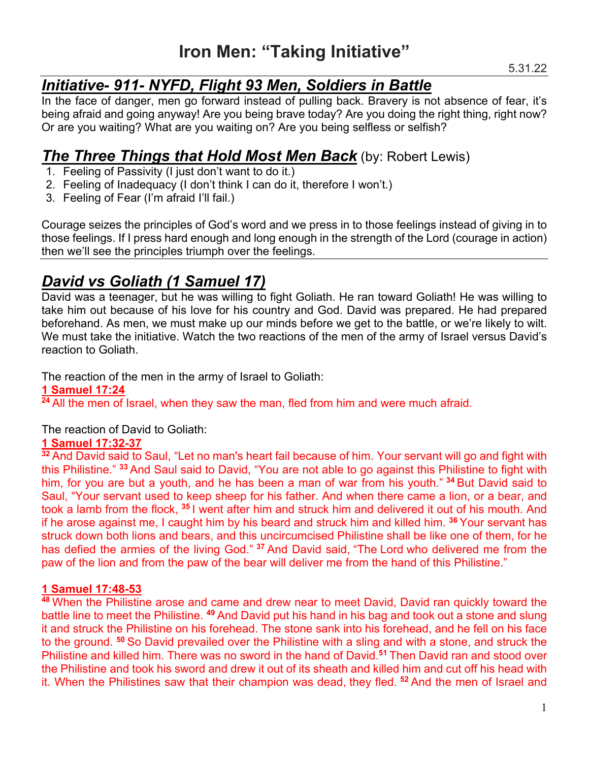# *Initiative- 911- NYFD, Flight 93 Men, Soldiers in Battle*

In the face of danger, men go forward instead of pulling back. Bravery is not absence of fear, it's being afraid and going anyway! Are you being brave today? Are you doing the right thing, right now? Or are you waiting? What are you waiting on? Are you being selfless or selfish?

# *The Three Things that Hold Most Men Back* (by: Robert Lewis)

- 1. Feeling of Passivity (I just don't want to do it.)
- 2. Feeling of Inadequacy (I don't think I can do it, therefore I won't.)
- 3. Feeling of Fear (I'm afraid I'll fail.)

Courage seizes the principles of God's word and we press in to those feelings instead of giving in to those feelings. If I press hard enough and long enough in the strength of the Lord (courage in action) then we'll see the principles triumph over the feelings.

# *David vs Goliath (1 Samuel 17)*

David was a teenager, but he was willing to fight Goliath. He ran toward Goliath! He was willing to take him out because of his love for his country and God. David was prepared. He had prepared beforehand. As men, we must make up our minds before we get to the battle, or we're likely to wilt. We must take the initiative. Watch the two reactions of the men of the army of Israel versus David's reaction to Goliath.

The reaction of the men in the army of Israel to Goliath:

## **1 Samuel 17:24**

<sup>24</sup> All the men of Israel, when they saw the man, fled from him and were much afraid.

The reaction of David to Goliath:

## **1 Samuel 17:32-37**

**<sup>32</sup>** And David said to Saul, "Let no man's heart fail because of him. Your servant will go and fight with this Philistine." **<sup>33</sup>** And Saul said to David, "You are not able to go against this Philistine to fight with him, for you are but a youth, and he has been a man of war from his youth." **<sup>34</sup>** But David said to Saul, "Your servant used to keep sheep for his father. And when there came a lion, or a bear, and took a lamb from the flock, **<sup>35</sup>** I went after him and struck him and delivered it out of his mouth. And if he arose against me, I caught him by his beard and struck him and killed him. **<sup>36</sup>** Your servant has struck down both lions and bears, and this uncircumcised Philistine shall be like one of them, for he has defied the armies of the living God." **<sup>37</sup>** And David said, "The Lord who delivered me from the paw of the lion and from the paw of the bear will deliver me from the hand of this Philistine."

## **1 Samuel 17:48-53**

**<sup>48</sup>** When the Philistine arose and came and drew near to meet David, David ran quickly toward the battle line to meet the Philistine. **<sup>49</sup>** And David put his hand in his bag and took out a stone and slung it and struck the Philistine on his forehead. The stone sank into his forehead, and he fell on his face to the ground. **<sup>50</sup>** So David prevailed over the Philistine with a sling and with a stone, and struck the Philistine and killed him. There was no sword in the hand of David.**<sup>51</sup>** Then David ran and stood over the Philistine and took his sword and drew it out of its sheath and killed him and cut off his head with it. When the Philistines saw that their champion was dead, they fled. **<sup>52</sup>** And the men of Israel and